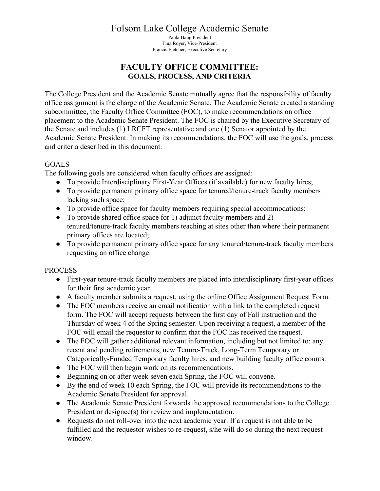# Folsom Lake College Academic Senate

Paula Haug,President Tina Royer, Vice-President Francis Fletcher, Executive Secretary

# **FACULTY OFFICE COMMITTEE: GOALS, PROCESS, AND CRITERIA**

The College President and the Academic Senate mutually agree that the responsibility of faculty office assignment is the charge of the Academic Senate. The Academic Senate created a standing subcommittee, the Faculty Office Committee (FOC), to make recommendations on office placement to the Academic Senate President. The FOC is chaired by the Executive Secretary of the Senate and includes (1) LRCFT representative and one (1) Senator appointed by the Academic Senate President. In making its recommendations, the FOC will use the goals, process and criteria described in this document.

#### GOALS

The following goals are considered when faculty offices are assigned:

- To provide Interdisciplinary First-Year Offices (if available) for new faculty hires;
- To provide permanent primary office space for tenured/tenure-track faculty members lacking such space;
- To provide office space for faculty members requiring special accommodations;
- To provide shared office space for 1) adjunct faculty members and 2) tenured/tenure-track faculty members teaching at sites other than where their permanent primary offices are located;
- To provide permanent primary office space for any tenured/tenure-track faculty members requesting an office change.

## PROCESS

- First-year tenure-track faculty members are placed into interdisciplinary first-year offices for their first academic year.
- A faculty member submits a request, using the online Office Assignment Request Form.
- The FOC members receive an email notification with a link to the completed request form. The FOC will accept requests between the first day of Fall instruction and the Thursday of week 4 of the Spring semester. Upon receiving a request, a member of the FOC will email the requestor to confirm that the FOC has received the request.
- The FOC will gather additional relevant information, including but not limited to: any recent and pending retirements, new Tenure-Track, Long-Term Temporary or Categorically-Funded Temporary faculty hires, and new building faculty office counts.
- The FOC will then begin work on its recommendations.
- Beginning on or after week seven each Spring, the FOC will convene.
- By the end of week 10 each Spring, the FOC will provide its recommendations to the Academic Senate President for approval.
- The Academic Senate President forwards the approved recommendations to the College President or designee(s) for review and implementation.
- Requests do not roll-over into the next academic year. If a request is not able to be fulfilled and the requestor wishes to re-request, s/he will do so during the next request window.